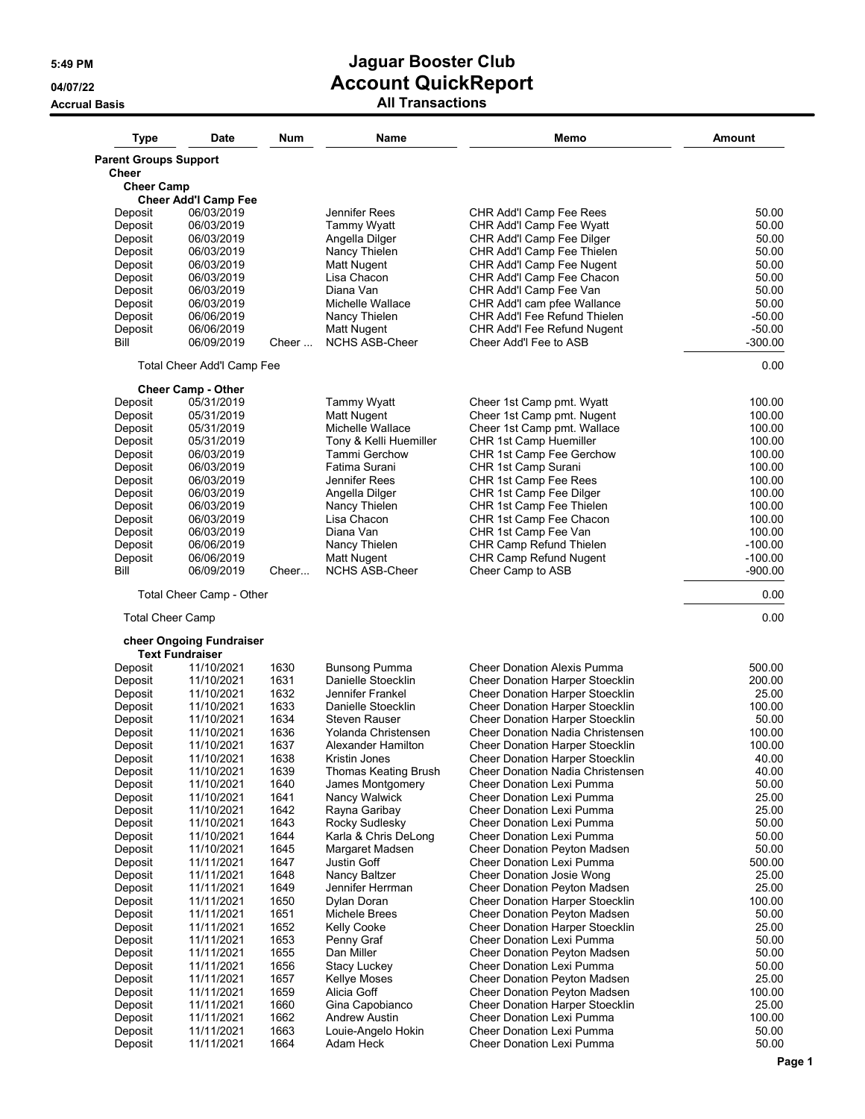| Type                         | Date                                               | Num          | Name                                           | Memo                                                                        | <b>Amount</b>    |
|------------------------------|----------------------------------------------------|--------------|------------------------------------------------|-----------------------------------------------------------------------------|------------------|
| <b>Parent Groups Support</b> |                                                    |              |                                                |                                                                             |                  |
| <b>Cheer</b>                 |                                                    |              |                                                |                                                                             |                  |
| <b>Cheer Camp</b>            |                                                    |              |                                                |                                                                             |                  |
|                              | <b>Cheer Add'l Camp Fee</b>                        |              |                                                |                                                                             |                  |
| Deposit                      | 06/03/2019                                         |              | Jennifer Rees<br><b>Tammy Wyatt</b>            | CHR Add'I Camp Fee Rees                                                     | 50.00<br>50.00   |
| Deposit<br>Deposit           | 06/03/2019<br>06/03/2019                           |              | Angella Dilger                                 | CHR Add'l Camp Fee Wyatt<br>CHR Add'l Camp Fee Dilger                       | 50.00            |
| Deposit                      | 06/03/2019                                         |              | Nancy Thielen                                  | CHR Add'I Camp Fee Thielen                                                  | 50.00            |
| Deposit                      | 06/03/2019                                         |              | Matt Nugent                                    | CHR Add'I Camp Fee Nugent                                                   | 50.00            |
| Deposit                      | 06/03/2019                                         |              | Lisa Chacon                                    | CHR Add'I Camp Fee Chacon                                                   | 50.00            |
| Deposit                      | 06/03/2019                                         |              | Diana Van                                      | CHR Add'l Camp Fee Van                                                      | 50.00            |
| Deposit                      | 06/03/2019                                         |              | Michelle Wallace                               | CHR Add'I cam pfee Wallance                                                 | 50.00            |
| Deposit                      | 06/06/2019                                         |              | Nancy Thielen                                  | CHR Add'I Fee Refund Thielen                                                | $-50.00$         |
| Deposit                      | 06/06/2019                                         |              | Matt Nugent                                    | CHR Add'l Fee Refund Nugent                                                 | $-50.00$         |
| Bill                         | 06/09/2019                                         | Cheer        | <b>NCHS ASB-Cheer</b>                          | Cheer Add'l Fee to ASB                                                      | $-300.00$        |
|                              | Total Cheer Add'l Camp Fee                         |              |                                                |                                                                             | 0.00             |
|                              | Cheer Camp - Other                                 |              |                                                |                                                                             |                  |
| Deposit                      | 05/31/2019                                         |              | Tammy Wyatt                                    | Cheer 1st Camp pmt. Wyatt                                                   | 100.00           |
| Deposit                      | 05/31/2019                                         |              | <b>Matt Nugent</b>                             | Cheer 1st Camp pmt. Nugent                                                  | 100.00           |
| Deposit                      | 05/31/2019                                         |              | Michelle Wallace                               | Cheer 1st Camp pmt. Wallace                                                 | 100.00           |
| Deposit                      | 05/31/2019                                         |              | Tony & Kelli Huemiller<br><b>Tammi Gerchow</b> | CHR 1st Camp Huemiller                                                      | 100.00           |
| Deposit<br>Deposit           | 06/03/2019<br>06/03/2019                           |              | Fatima Surani                                  | CHR 1st Camp Fee Gerchow<br>CHR 1st Camp Surani                             | 100.00<br>100.00 |
| Deposit                      | 06/03/2019                                         |              | Jennifer Rees                                  | CHR 1st Camp Fee Rees                                                       | 100.00           |
| Deposit                      | 06/03/2019                                         |              | Angella Dilger                                 | CHR 1st Camp Fee Dilger                                                     | 100.00           |
| Deposit                      | 06/03/2019                                         |              | Nancy Thielen                                  | CHR 1st Camp Fee Thielen                                                    | 100.00           |
| Deposit                      | 06/03/2019                                         |              | Lisa Chacon                                    | CHR 1st Camp Fee Chacon                                                     | 100.00           |
| Deposit                      | 06/03/2019                                         |              | Diana Van                                      | CHR 1st Camp Fee Van                                                        | 100.00           |
| Deposit                      | 06/06/2019                                         |              | Nancy Thielen                                  | CHR Camp Refund Thielen                                                     | $-100.00$        |
| Deposit                      | 06/06/2019                                         |              | <b>Matt Nugent</b>                             | CHR Camp Refund Nugent                                                      | $-100.00$        |
| Bill                         | 06/09/2019                                         | Cheer        | <b>NCHS ASB-Cheer</b>                          | Cheer Camp to ASB                                                           | $-900.00$        |
|                              | Total Cheer Camp - Other                           |              |                                                |                                                                             | 0.00             |
| <b>Total Cheer Camp</b>      |                                                    |              |                                                |                                                                             | 0.00             |
|                              | cheer Ongoing Fundraiser<br><b>Text Fundraiser</b> |              |                                                |                                                                             |                  |
| Deposit                      | 11/10/2021                                         | 1630         | <b>Bunsong Pumma</b>                           | <b>Cheer Donation Alexis Pumma</b>                                          | 500.00           |
| Deposit                      | 11/10/2021                                         | 1631         | Danielle Stoecklin                             | Cheer Donation Harper Stoecklin                                             | 200.00           |
| Deposit                      | 11/10/2021                                         | 1632         | Jennifer Frankel                               | Cheer Donation Harper Stoecklin                                             | 25.00            |
| Deposit                      | 11/10/2021                                         | 1633         | Danielle Stoecklin                             | Cheer Donation Harper Stoecklin                                             | 100.00           |
| Deposit                      | 11/10/2021                                         | 1634         | <b>Steven Rauser</b>                           | Cheer Donation Harper Stoecklin                                             | 50.00            |
| Deposit                      | 11/10/2021                                         | 1636         | Yolanda Christensen                            | Cheer Donation Nadia Christensen                                            | 100.00           |
| Deposit                      | 11/10/2021                                         | 1637         | Alexander Hamilton                             | <b>Cheer Donation Harper Stoecklin</b>                                      | 100.00           |
| Deposit                      | 11/10/2021                                         | 1638         | Kristin Jones                                  | Cheer Donation Harper Stoecklin                                             | 40.00<br>40.00   |
| Deposit<br>Deposit           | 11/10/2021<br>11/10/2021                           | 1639<br>1640 | Thomas Keating Brush<br>James Montgomery       | <b>Cheer Donation Nadia Christensen</b><br><b>Cheer Donation Lexi Pumma</b> | 50.00            |
| Deposit                      | 11/10/2021                                         | 1641         | Nancy Walwick                                  | Cheer Donation Lexi Pumma                                                   | 25.00            |
| Deposit                      | 11/10/2021                                         | 1642         | Rayna Garibay                                  | <b>Cheer Donation Lexi Pumma</b>                                            | 25.00            |
| Deposit                      | 11/10/2021                                         | 1643         | Rocky Sudlesky                                 | Cheer Donation Lexi Pumma                                                   | 50.00            |
| Deposit                      | 11/10/2021                                         | 1644         | Karla & Chris DeLong                           | <b>Cheer Donation Lexi Pumma</b>                                            | 50.00            |
| Deposit                      | 11/10/2021                                         | 1645         | Margaret Madsen                                | Cheer Donation Peyton Madsen                                                | 50.00            |
| Deposit                      | 11/11/2021                                         | 1647         | Justin Goff                                    | <b>Cheer Donation Lexi Pumma</b>                                            | 500.00           |
| Deposit                      | 11/11/2021                                         | 1648         | Nancy Baltzer                                  | <b>Cheer Donation Josie Wong</b>                                            | 25.00            |
| Deposit                      | 11/11/2021                                         | 1649         | Jennifer Herrman                               | Cheer Donation Peyton Madsen                                                | 25.00            |
| Deposit                      | 11/11/2021                                         | 1650         | Dylan Doran                                    | Cheer Donation Harper Stoecklin                                             | 100.00           |
| Deposit                      | 11/11/2021                                         | 1651         | Michele Brees                                  | Cheer Donation Peyton Madsen                                                | 50.00            |
| Deposit                      | 11/11/2021                                         | 1652         | <b>Kelly Cooke</b>                             | Cheer Donation Harper Stoecklin                                             | 25.00            |
| Deposit                      | 11/11/2021                                         | 1653         | Penny Graf                                     | <b>Cheer Donation Lexi Pumma</b>                                            | 50.00            |
| Deposit                      | 11/11/2021                                         | 1655         | Dan Miller                                     | Cheer Donation Peyton Madsen                                                | 50.00            |
| Deposit                      | 11/11/2021                                         | 1656         | Stacy Luckey                                   | Cheer Donation Lexi Pumma                                                   | 50.00            |
| Deposit                      | 11/11/2021                                         | 1657         | <b>Kellye Moses</b>                            | <b>Cheer Donation Peyton Madsen</b>                                         | 25.00            |
| Deposit                      | 11/11/2021                                         | 1659<br>1660 | Alicia Goff                                    | Cheer Donation Peyton Madsen                                                | 100.00<br>25.00  |
| Deposit                      | 11/11/2021<br>11/11/2021                           | 1662         | Gina Capobianco<br><b>Andrew Austin</b>        | <b>Cheer Donation Harper Stoecklin</b><br><b>Cheer Donation Lexi Pumma</b>  | 100.00           |
| Deposit<br>Deposit           | 11/11/2021                                         | 1663         | Louie-Angelo Hokin                             | Cheer Donation Lexi Pumma                                                   | 50.00            |
| Deposit                      | 11/11/2021                                         | 1664         | Adam Heck                                      | Cheer Donation Lexi Pumma                                                   | 50.00            |
|                              |                                                    |              |                                                |                                                                             |                  |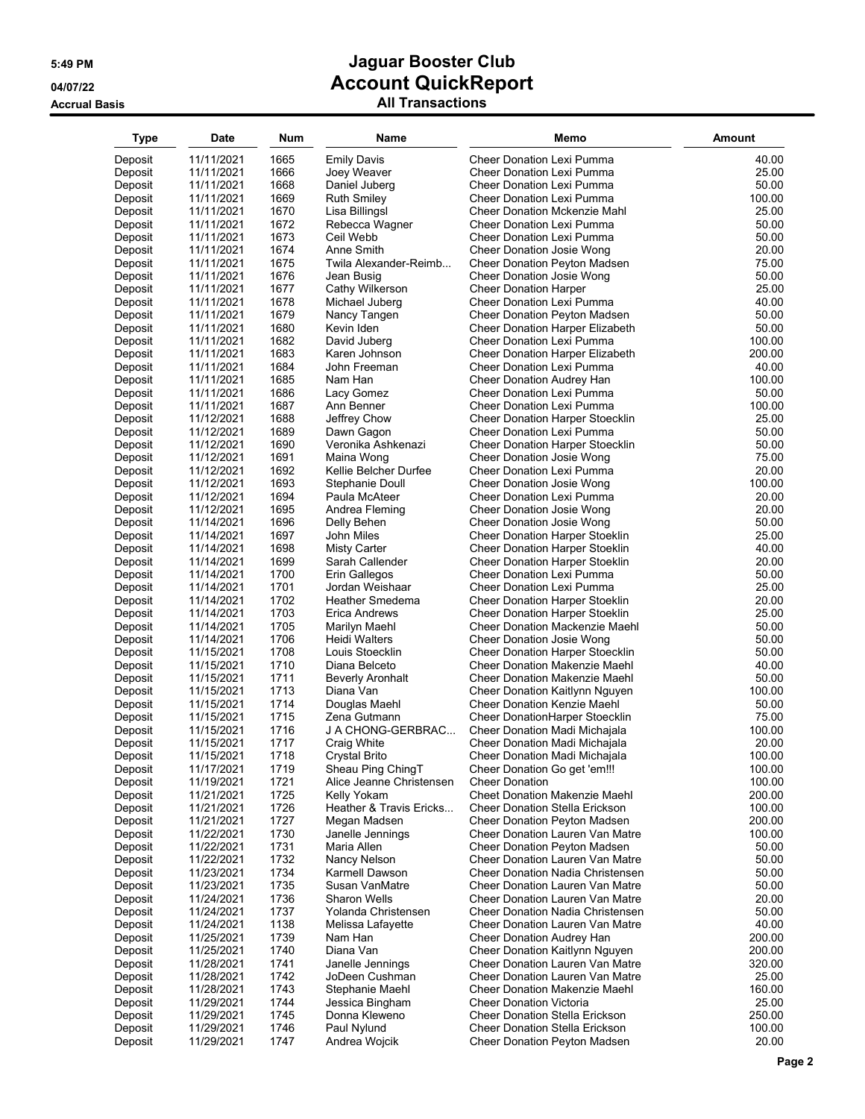| <b>Type</b> | <b>Date</b> | <b>Num</b> | Name                     | Memo                                   | <b>Amount</b> |
|-------------|-------------|------------|--------------------------|----------------------------------------|---------------|
| Deposit     | 11/11/2021  | 1665       | <b>Emily Davis</b>       | Cheer Donation Lexi Pumma              | 40.00         |
| Deposit     | 11/11/2021  | 1666       | Joey Weaver              | Cheer Donation Lexi Pumma              | 25.00         |
| Deposit     | 11/11/2021  | 1668       | Daniel Juberg            | Cheer Donation Lexi Pumma              | 50.00         |
| Deposit     | 11/11/2021  | 1669       | <b>Ruth Smiley</b>       | <b>Cheer Donation Lexi Pumma</b>       | 100.00        |
| Deposit     | 11/11/2021  | 1670       | Lisa Billingsl           | <b>Cheer Donation Mckenzie Mahl</b>    | 25.00         |
| Deposit     | 11/11/2021  | 1672       | Rebecca Wagner           | <b>Cheer Donation Lexi Pumma</b>       | 50.00         |
| Deposit     | 11/11/2021  | 1673       | Ceil Webb                | Cheer Donation Lexi Pumma              | 50.00         |
| Deposit     | 11/11/2021  | 1674       | Anne Smith               | Cheer Donation Josie Wong              | 20.00         |
| Deposit     | 11/11/2021  | 1675       | Twila Alexander-Reimb    | Cheer Donation Peyton Madsen           | 75.00         |
| Deposit     | 11/11/2021  | 1676       | Jean Busig               | Cheer Donation Josie Wong              | 50.00         |
| Deposit     | 11/11/2021  | 1677       | Cathy Wilkerson          | <b>Cheer Donation Harper</b>           | 25.00         |
| Deposit     | 11/11/2021  | 1678       | Michael Juberg           | Cheer Donation Lexi Pumma              | 40.00         |
| Deposit     | 11/11/2021  | 1679       | Nancy Tangen             | <b>Cheer Donation Peyton Madsen</b>    | 50.00         |
| Deposit     | 11/11/2021  | 1680       | Kevin Iden               | <b>Cheer Donation Harper Elizabeth</b> | 50.00         |
| Deposit     | 11/11/2021  | 1682       | David Juberg             | Cheer Donation Lexi Pumma              | 100.00        |
| Deposit     | 11/11/2021  | 1683       | Karen Johnson            | <b>Cheer Donation Harper Elizabeth</b> | 200.00        |
| Deposit     | 11/11/2021  | 1684       | John Freeman             | Cheer Donation Lexi Pumma              | 40.00         |
| Deposit     | 11/11/2021  | 1685       | Nam Han                  | Cheer Donation Audrey Han              | 100.00        |
| Deposit     | 11/11/2021  | 1686       | Lacy Gomez               | Cheer Donation Lexi Pumma              | 50.00         |
| Deposit     | 11/11/2021  | 1687       | Ann Benner               | <b>Cheer Donation Lexi Pumma</b>       | 100.00        |
| Deposit     | 11/12/2021  | 1688       | Jeffrey Chow             | <b>Cheer Donation Harper Stoecklin</b> | 25.00         |
| Deposit     | 11/12/2021  | 1689       | Dawn Gagon               | Cheer Donation Lexi Pumma              | 50.00         |
| Deposit     | 11/12/2021  | 1690       | Veronika Ashkenazi       | Cheer Donation Harper Stoecklin        | 50.00         |
| Deposit     | 11/12/2021  | 1691       | Maina Wong               | Cheer Donation Josie Wong              | 75.00         |
| Deposit     | 11/12/2021  | 1692       | Kellie Belcher Durfee    | <b>Cheer Donation Lexi Pumma</b>       | 20.00         |
| Deposit     | 11/12/2021  | 1693       | Stephanie Doull          | Cheer Donation Josie Wong              | 100.00        |
| Deposit     | 11/12/2021  | 1694       | Paula McAteer            | <b>Cheer Donation Lexi Pumma</b>       | 20.00         |
| Deposit     | 11/12/2021  | 1695       | Andrea Fleming           | Cheer Donation Josie Wong              | 20.00         |
| Deposit     | 11/14/2021  | 1696       | Delly Behen              | Cheer Donation Josie Wong              | 50.00         |
| Deposit     | 11/14/2021  | 1697       | John Miles               | <b>Cheer Donation Harper Stoeklin</b>  | 25.00         |
| Deposit     | 11/14/2021  | 1698       | Misty Carter             | <b>Cheer Donation Harper Stoeklin</b>  | 40.00         |
| Deposit     | 11/14/2021  | 1699       | Sarah Callender          | <b>Cheer Donation Harper Stoeklin</b>  | 20.00         |
| Deposit     | 11/14/2021  | 1700       | Erin Gallegos            | Cheer Donation Lexi Pumma              | 50.00         |
| Deposit     | 11/14/2021  | 1701       | Jordan Weishaar          | Cheer Donation Lexi Pumma              | 25.00         |
| Deposit     | 11/14/2021  | 1702       | Heather Smedema          | <b>Cheer Donation Harper Stoeklin</b>  | 20.00         |
| Deposit     | 11/14/2021  | 1703       | Erica Andrews            | Cheer Donation Harper Stoeklin         | 25.00         |
| Deposit     | 11/14/2021  | 1705       | Marilyn Maehl            | <b>Cheer Donation Mackenzie Maehl</b>  | 50.00         |
| Deposit     | 11/14/2021  | 1706       | Heidi Walters            | Cheer Donation Josie Wong              | 50.00         |
| Deposit     | 11/15/2021  | 1708       | Louis Stoecklin          | <b>Cheer Donation Harper Stoecklin</b> | 50.00         |
| Deposit     | 11/15/2021  | 1710       | Diana Belceto            | <b>Cheer Donation Makenzie Maehl</b>   | 40.00         |
| Deposit     | 11/15/2021  | 1711       | <b>Beverly Aronhalt</b>  | <b>Cheer Donation Makenzie Maehl</b>   | 50.00         |
| Deposit     | 11/15/2021  | 1713       | Diana Van                | Cheer Donation Kaitlynn Nguyen         | 100.00        |
| Deposit     | 11/15/2021  | 1714       | Douglas Maehl            | Cheer Donation Kenzie Maehl            | 50.00         |
| Deposit     | 11/15/2021  | 1715       | Zena Gutmann             | Cheer DonationHarper Stoecklin         | 75.00         |
| Deposit     | 11/15/2021  | 1716       | J A CHONG-GERBRAC        | Cheer Donation Madi Michajala          | 100.00        |
| Deposit     | 11/15/2021  | 1717       | Craig White              | Cheer Donation Madi Michajala          | 20.00         |
| Deposit     | 11/15/2021  | 1718       | Crystal Brito            | Cheer Donation Madi Michajala          | 100.00        |
| Deposit     | 11/17/2021  | 1719       | Sheau Ping ChingT        | Cheer Donation Go get 'em!!!           | 100.00        |
| Deposit     | 11/19/2021  | 1721       | Alice Jeanne Christensen | <b>Cheer Donation</b>                  | 100.00        |
| Deposit     | 11/21/2021  | 1725       | Kelly Yokam              | <b>Cheet Donation Makenzie Maehl</b>   | 200.00        |
| Deposit     | 11/21/2021  | 1726       | Heather & Travis Ericks  | <b>Cheer Donation Stella Erickson</b>  | 100.00        |
| Deposit     | 11/21/2021  | 1727       | Megan Madsen             | Cheer Donation Peyton Madsen           | 200.00        |
| Deposit     | 11/22/2021  | 1730       | Janelle Jennings         | Cheer Donation Lauren Van Matre        | 100.00        |
| Deposit     | 11/22/2021  | 1731       | Maria Allen              | Cheer Donation Peyton Madsen           | 50.00         |
| Deposit     | 11/22/2021  | 1732       | Nancy Nelson             | Cheer Donation Lauren Van Matre        | 50.00         |
| Deposit     | 11/23/2021  | 1734       | Karmell Dawson           | Cheer Donation Nadia Christensen       | 50.00         |
| Deposit     | 11/23/2021  | 1735       | Susan VanMatre           | Cheer Donation Lauren Van Matre        | 50.00         |
| Deposit     | 11/24/2021  | 1736       | Sharon Wells             | Cheer Donation Lauren Van Matre        | 20.00         |
| Deposit     | 11/24/2021  | 1737       | Yolanda Christensen      | Cheer Donation Nadia Christensen       | 50.00         |
| Deposit     | 11/24/2021  | 1138       | Melissa Lafayette        | Cheer Donation Lauren Van Matre        | 40.00         |
| Deposit     | 11/25/2021  | 1739       | Nam Han                  | Cheer Donation Audrey Han              | 200.00        |
| Deposit     | 11/25/2021  | 1740       | Diana Van                | Cheer Donation Kaitlynn Nguyen         | 200.00        |
| Deposit     | 11/28/2021  | 1741       | Janelle Jennings         | Cheer Donation Lauren Van Matre        | 320.00        |
| Deposit     | 11/28/2021  | 1742       | JoDeen Cushman           | Cheer Donation Lauren Van Matre        | 25.00         |
| Deposit     | 11/28/2021  | 1743       | Stephanie Maehl          | Cheer Donation Makenzie Maehl          | 160.00        |
| Deposit     | 11/29/2021  | 1744       | Jessica Bingham          | <b>Cheer Donation Victoria</b>         | 25.00         |
| Deposit     | 11/29/2021  | 1745       | Donna Kleweno            | <b>Cheer Donation Stella Erickson</b>  | 250.00        |
| Deposit     | 11/29/2021  | 1746       | Paul Nylund              | <b>Cheer Donation Stella Erickson</b>  | 100.00        |
| Deposit     | 11/29/2021  | 1747       | Andrea Wojcik            | Cheer Donation Peyton Madsen           | 20.00         |
|             |             |            |                          |                                        |               |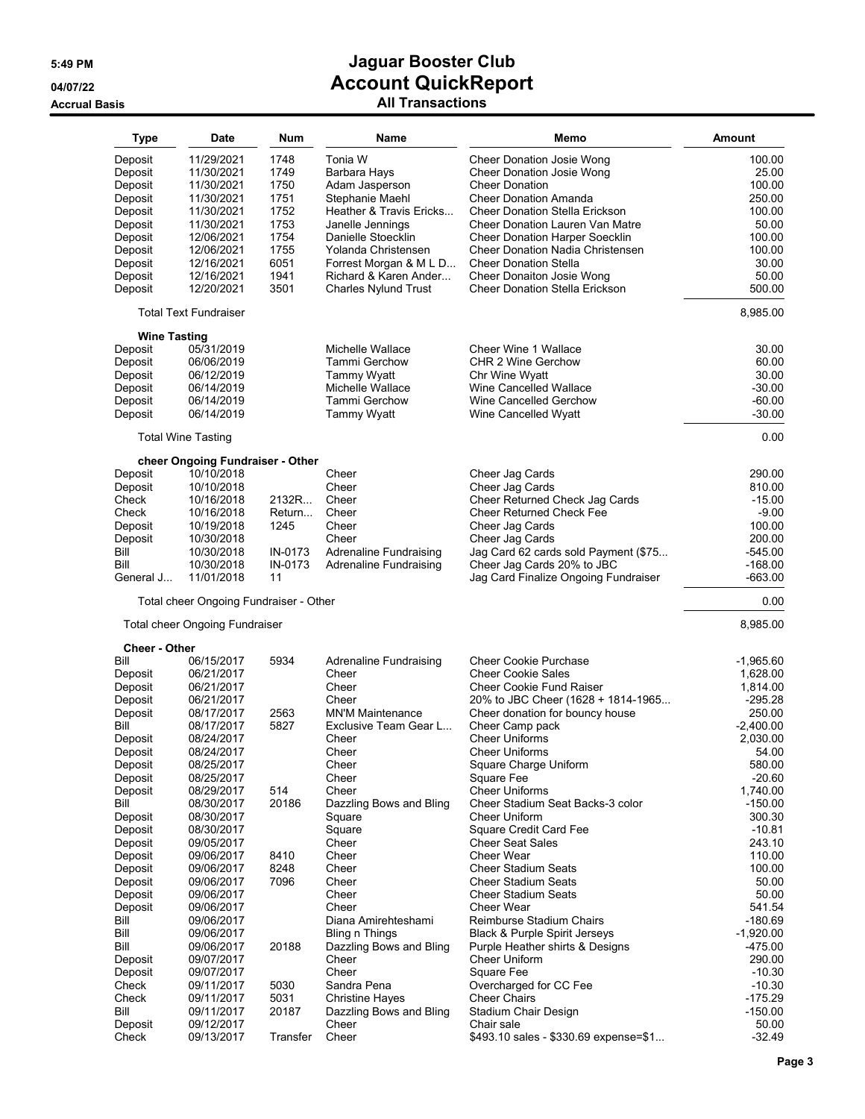| <b>Type</b>          | <b>Date</b>                            | Num          | Name                          | Memo                                     | <b>Amount</b> |
|----------------------|----------------------------------------|--------------|-------------------------------|------------------------------------------|---------------|
| Deposit              | 11/29/2021                             | 1748         | Tonia W                       | Cheer Donation Josie Wong                | 100.00        |
| Deposit              | 11/30/2021                             | 1749         | Barbara Hays                  | <b>Cheer Donation Josie Wong</b>         | 25.00         |
| Deposit              | 11/30/2021                             | 1750         | Adam Jasperson                | <b>Cheer Donation</b>                    | 100.00        |
|                      |                                        |              |                               | <b>Cheer Donation Amanda</b>             | 250.00        |
| Deposit              | 11/30/2021                             | 1751<br>1752 | Stephanie Maehl               |                                          |               |
| Deposit              | 11/30/2021                             |              | Heather & Travis Ericks       | <b>Cheer Donation Stella Erickson</b>    | 100.00        |
| Deposit              | 11/30/2021                             | 1753         | Janelle Jennings              | Cheer Donation Lauren Van Matre          | 50.00         |
| Deposit              | 12/06/2021                             | 1754         | Danielle Stoecklin            | <b>Cheer Donation Harper Soecklin</b>    | 100.00        |
| Deposit              | 12/06/2021                             | 1755         | Yolanda Christensen           | <b>Cheer Donation Nadia Christensen</b>  | 100.00        |
| Deposit              | 12/16/2021                             | 6051         | Forrest Morgan & M L D        | <b>Cheer Donation Stella</b>             | 30.00         |
| Deposit              | 12/16/2021                             | 1941         | Richard & Karen Ander         | Cheer Donaiton Josie Wong                | 50.00         |
| Deposit              | 12/20/2021                             | 3501         | <b>Charles Nylund Trust</b>   | <b>Cheer Donation Stella Erickson</b>    | 500.00        |
|                      | <b>Total Text Fundraiser</b>           |              |                               |                                          | 8,985.00      |
| <b>Wine Tasting</b>  |                                        |              |                               |                                          |               |
| Deposit              | 05/31/2019                             |              | Michelle Wallace              | Cheer Wine 1 Wallace                     | 30.00         |
| Deposit              | 06/06/2019                             |              | <b>Tammi Gerchow</b>          | CHR 2 Wine Gerchow                       | 60.00         |
| Deposit              | 06/12/2019                             |              | <b>Tammy Wyatt</b>            | Chr Wine Wyatt                           | 30.00         |
| Deposit              | 06/14/2019                             |              | Michelle Wallace              | Wine Cancelled Wallace                   | $-30.00$      |
| Deposit              | 06/14/2019                             |              | Tammi Gerchow                 | Wine Cancelled Gerchow                   | $-60.00$      |
| Deposit              | 06/14/2019                             |              | <b>Tammy Wyatt</b>            | Wine Cancelled Wyatt                     | $-30.00$      |
|                      | <b>Total Wine Tasting</b>              |              |                               |                                          | 0.00          |
|                      | cheer Ongoing Fundraiser - Other       |              |                               |                                          |               |
| Deposit              | 10/10/2018                             |              | Cheer                         | Cheer Jag Cards                          | 290.00        |
| Deposit              | 10/10/2018                             |              | Cheer                         | Cheer Jaq Cards                          | 810.00        |
| Check                | 10/16/2018                             | 2132R        | Cheer                         | Cheer Returned Check Jag Cards           | $-15.00$      |
| Check                | 10/16/2018                             | Return       | Cheer                         | <b>Cheer Returned Check Fee</b>          | $-9.00$       |
| Deposit              | 10/19/2018                             | 1245         | Cheer                         | Cheer Jag Cards                          | 100.00        |
| Deposit              | 10/30/2018                             |              | Cheer                         | Cheer Jag Cards                          | 200.00        |
| Bill                 | 10/30/2018                             | IN-0173      | <b>Adrenaline Fundraising</b> | Jag Card 62 cards sold Payment (\$75     | $-545.00$     |
| Bill                 | 10/30/2018                             | IN-0173      | <b>Adrenaline Fundraising</b> | Cheer Jag Cards 20% to JBC               | $-168.00$     |
| General J            | 11/01/2018                             | 11           |                               | Jag Card Finalize Ongoing Fundraiser     | $-663.00$     |
|                      | Total cheer Ongoing Fundraiser - Other |              |                               |                                          | 0.00          |
|                      | <b>Total cheer Ongoing Fundraiser</b>  |              |                               |                                          | 8,985.00      |
| <b>Cheer - Other</b> |                                        |              |                               |                                          |               |
| Bill                 | 06/15/2017                             | 5934         | Adrenaline Fundraising        | <b>Cheer Cookie Purchase</b>             | $-1,965.60$   |
| Deposit              | 06/21/2017                             |              | Cheer                         | <b>Cheer Cookie Sales</b>                | 1,628.00      |
| Deposit              | 06/21/2017                             |              | Cheer                         | <b>Cheer Cookie Fund Raiser</b>          | 1,814.00      |
| Deposit              | 06/21/2017                             |              | Cheer                         | 20% to JBC Cheer (1628 + 1814-1965       | $-295.28$     |
| Deposit              | 08/17/2017                             | 2563         | <b>MN'M Maintenance</b>       | Cheer donation for bouncy house          | 250.00        |
| Bill                 | 08/17/2017                             | 5827         | Exclusive Team Gear L         | Cheer Camp pack                          | $-2,400.00$   |
| Deposit              | 08/24/2017                             |              | Cheer                         | <b>Cheer Uniforms</b>                    | 2,030.00      |
| Deposit              | 08/24/2017                             |              | Cheer                         | <b>Cheer Uniforms</b>                    | 54.00         |
| Deposit              | 08/25/2017                             |              | Cheer                         | Square Charge Uniform                    | 580.00        |
| Deposit              | 08/25/2017                             |              | Cheer                         | Square Fee                               | $-20.60$      |
| Deposit              | 08/29/2017                             | 514          | Cheer                         | <b>Cheer Uniforms</b>                    | 1,740.00      |
| Bill                 | 08/30/2017                             | 20186        | Dazzling Bows and Bling       | Cheer Stadium Seat Backs-3 color         | $-150.00$     |
| Deposit              | 08/30/2017                             |              | Square                        | <b>Cheer Uniform</b>                     | 300.30        |
| Deposit              | 08/30/2017                             |              | Square                        | Square Credit Card Fee                   | $-10.81$      |
| Deposit              | 09/05/2017                             |              | Cheer                         | <b>Cheer Seat Sales</b>                  | 243.10        |
| Deposit              | 09/06/2017                             | 8410         | Cheer                         | <b>Cheer Wear</b>                        | 110.00        |
| Deposit              | 09/06/2017                             | 8248         | Cheer                         | <b>Cheer Stadium Seats</b>               | 100.00        |
| Deposit              | 09/06/2017                             | 7096         | Cheer                         | <b>Cheer Stadium Seats</b>               | 50.00         |
| Deposit              | 09/06/2017                             |              | Cheer                         | <b>Cheer Stadium Seats</b>               | 50.00         |
| Deposit              | 09/06/2017                             |              | Cheer                         | <b>Cheer Wear</b>                        | 541.54        |
| Bill                 | 09/06/2017                             |              | Diana Amirehteshami           | Reimburse Stadium Chairs                 | $-180.69$     |
| Bill                 | 09/06/2017                             |              | Bling n Things                | <b>Black &amp; Purple Spirit Jerseys</b> | $-1,920.00$   |
| Bill                 | 09/06/2017                             | 20188        | Dazzling Bows and Bling       | Purple Heather shirts & Designs          | $-475.00$     |
| Deposit              | 09/07/2017                             |              | Cheer                         | Cheer Uniform                            | 290.00        |
|                      |                                        |              | Cheer                         |                                          |               |
| Deposit              | 09/07/2017                             |              |                               | Square Fee                               | $-10.30$      |
| Check                | 09/11/2017                             | 5030         | Sandra Pena                   | Overcharged for CC Fee                   | $-10.30$      |
| Check                | 09/11/2017                             | 5031         | <b>Christine Hayes</b>        | <b>Cheer Chairs</b>                      | $-175.29$     |
| Bill                 | 09/11/2017                             | 20187        | Dazzling Bows and Bling       | Stadium Chair Design                     | $-150.00$     |
| Deposit              | 09/12/2017                             |              | Cheer                         | Chair sale                               | 50.00         |
| Check                | 09/13/2017                             | Transfer     | Cheer                         | \$493.10 sales - \$330.69 expense=\$1    | $-32.49$      |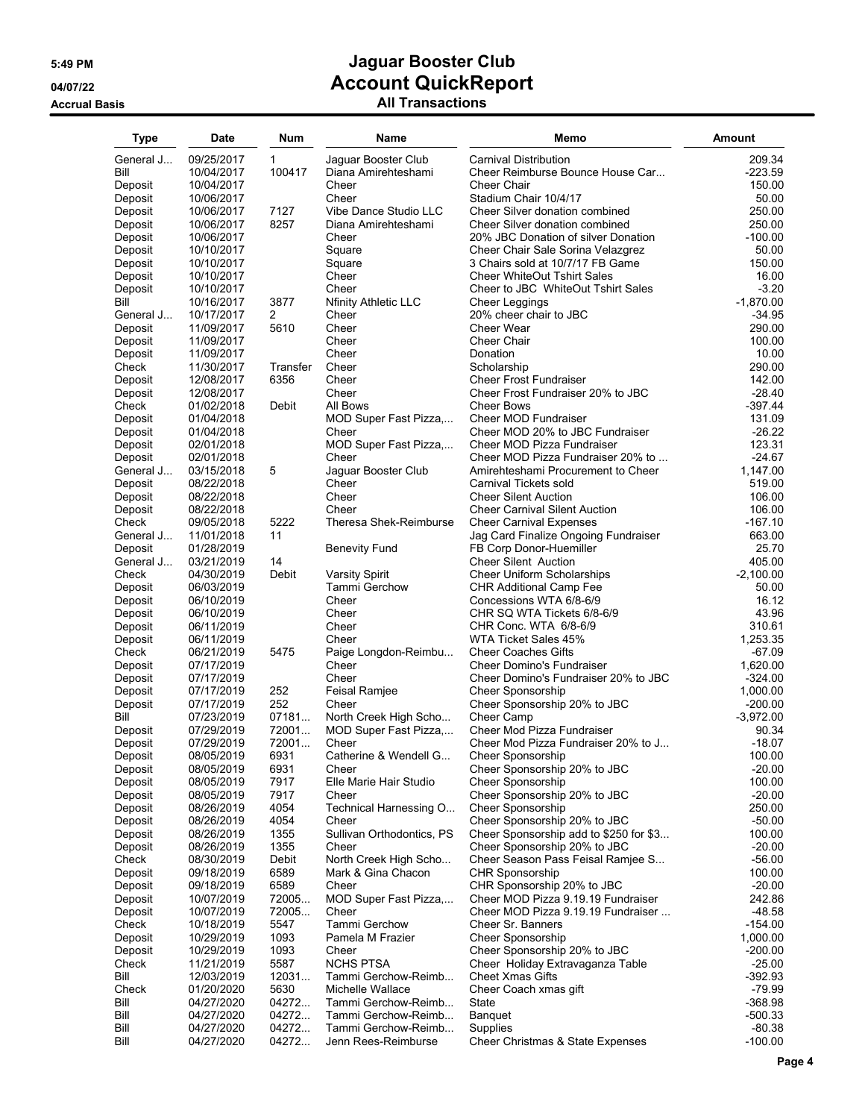| <b>Type</b>        | <b>Date</b>              | Num          | Name                            | Memo                                                     | <b>Amount</b>      |
|--------------------|--------------------------|--------------|---------------------------------|----------------------------------------------------------|--------------------|
| General J          | 09/25/2017               | $\mathbf{1}$ | Jaguar Booster Club             | Carnival Distribution                                    | 209.34             |
| Bill               | 10/04/2017               | 100417       | Diana Amirehteshami             | Cheer Reimburse Bounce House Car                         | $-223.59$          |
| Deposit            | 10/04/2017               |              | Cheer                           | Cheer Chair                                              | 150.00             |
| Deposit            | 10/06/2017               |              | Cheer                           | Stadium Chair 10/4/17                                    | 50.00              |
| Deposit            | 10/06/2017               | 7127         | Vibe Dance Studio LLC           | Cheer Silver donation combined                           | 250.00             |
| Deposit            | 10/06/2017               | 8257         | Diana Amirehteshami             | Cheer Silver donation combined                           | 250.00             |
| Deposit            | 10/06/2017               |              | Cheer                           | 20% JBC Donation of silver Donation                      | -100.00            |
| Deposit            | 10/10/2017               |              | Square                          | Cheer Chair Sale Sorina Velazgrez                        | 50.00              |
| Deposit            | 10/10/2017               |              | Square                          | 3 Chairs sold at 10/7/17 FB Game                         | 150.00             |
| Deposit            | 10/10/2017               |              | Cheer                           | <b>Cheer WhiteOut Tshirt Sales</b>                       | 16.00              |
| Deposit            | 10/10/2017               |              | Cheer                           | Cheer to JBC WhiteOut Tshirt Sales                       | $-3.20$            |
| Bill               | 10/16/2017               | 3877         | <b>Nfinity Athletic LLC</b>     | Cheer Leggings                                           | $-1,870.00$        |
| General J          | 10/17/2017               | 2            | Cheer                           | 20% cheer chair to JBC                                   | $-34.95$           |
| Deposit            | 11/09/2017               | 5610         | Cheer                           | Cheer Wear                                               | 290.00             |
| Deposit            | 11/09/2017               |              | Cheer                           | Cheer Chair                                              | 100.00             |
| Deposit            | 11/09/2017               |              | Cheer                           | Donation                                                 | 10.00              |
| Check              | 11/30/2017               | Transfer     | Cheer                           | Scholarship                                              | 290.00             |
| Deposit            | 12/08/2017               | 6356         | Cheer                           | <b>Cheer Frost Fundraiser</b>                            | 142.00             |
| Deposit            | 12/08/2017               |              | Cheer                           | Cheer Frost Fundraiser 20% to JBC                        | $-28.40$           |
| Check              | 01/02/2018               | Debit        | All Bows                        | <b>Cheer Bows</b>                                        | -397.44            |
| Deposit            | 01/04/2018               |              | MOD Super Fast Pizza,           | <b>Cheer MOD Fundraiser</b>                              | 131.09             |
| Deposit            | 01/04/2018               |              | Cheer                           | Cheer MOD 20% to JBC Fundraiser                          | $-26.22$           |
| Deposit            | 02/01/2018               |              | MOD Super Fast Pizza,           | Cheer MOD Pizza Fundraiser                               | 123.31             |
| Deposit            | 02/01/2018               |              | Cheer                           | Cheer MOD Pizza Fundraiser 20% to                        | $-24.67$           |
| General J          | 03/15/2018               | 5            | Jaquar Booster Club             | Amirehteshami Procurement to Cheer                       | 1,147.00           |
| Deposit            | 08/22/2018               |              | Cheer                           | Carnival Tickets sold                                    | 519.00             |
| Deposit            | 08/22/2018               |              | Cheer                           | <b>Cheer Silent Auction</b>                              | 106.00             |
| Deposit            | 08/22/2018               |              | Cheer                           | <b>Cheer Carnival Silent Auction</b>                     | 106.00             |
| Check              | 09/05/2018               | 5222         | Theresa Shek-Reimburse          | <b>Cheer Carnival Expenses</b>                           | -167.10            |
| General J          | 11/01/2018               | 11           |                                 | Jag Card Finalize Ongoing Fundraiser                     | 663.00             |
| Deposit            | 01/28/2019               |              | <b>Benevity Fund</b>            | FB Corp Donor-Huemiller                                  | 25.70              |
| General J          | 03/21/2019               | 14           |                                 | <b>Cheer Silent Auction</b>                              | 405.00             |
| Check              | 04/30/2019               | Debit        | <b>Varsity Spirit</b>           | <b>Cheer Uniform Scholarships</b>                        | $-2,100.00$        |
| Deposit            | 06/03/2019               |              | Tammi Gerchow                   | CHR Additional Camp Fee                                  | 50.00              |
| Deposit            | 06/10/2019               |              | Cheer                           | Concessions WTA 6/8-6/9                                  | 16.12              |
| Deposit            | 06/10/2019               |              | Cheer                           | CHR SQ WTA Tickets 6/8-6/9                               | 43.96              |
| Deposit            | 06/11/2019               |              | Cheer                           | CHR Conc. WTA 6/8-6/9                                    | 310.61             |
| Deposit            | 06/11/2019               |              | Cheer                           | WTA Ticket Sales 45%                                     | 1,253.35           |
| Check              | 06/21/2019               | 5475         | Paige Longdon-Reimbu            | <b>Cheer Coaches Gifts</b>                               | -67.09             |
| Deposit            | 07/17/2019               |              | Cheer                           | Cheer Domino's Fundraiser                                | 1,620.00           |
| Deposit            | 07/17/2019               |              | Cheer                           | Cheer Domino's Fundraiser 20% to JBC                     | $-324.00$          |
| Deposit            | 07/17/2019               | 252          | Feisal Ramjee                   | <b>Cheer Sponsorship</b>                                 | 1,000.00           |
| Deposit            | 07/17/2019               | 252          | Cheer                           | Cheer Sponsorship 20% to JBC                             | $-200.00$          |
| Bill               | 07/23/2019               | 07181        | North Creek High Scho           | Cheer Camp                                               | $-3,972.00$        |
| Deposit            | 07/29/2019               | 72001        | MOD Super Fast Pizza,           | Cheer Mod Pizza Fundraiser                               | 90.34              |
| Deposit            | 07/29/2019               | 72001        | Cheer                           | Cheer Mod Pizza Fundraiser 20% to J                      | $-18.07$           |
| Deposit            | 08/05/2019               | 6931         | Catherine & Wendell G           | Cheer Sponsorship                                        | 100.00             |
| Deposit            | 08/05/2019               | 6931         | Cheer                           | Cheer Sponsorship 20% to JBC                             | $-20.00$           |
| Deposit            | 08/05/2019               | 7917         | Elle Marie Hair Studio          | <b>Cheer Sponsorship</b>                                 | 100.00             |
| Deposit            | 08/05/2019               | 7917<br>4054 | Cheer                           | Cheer Sponsorship 20% to JBC                             | $-20.00$<br>250.00 |
| Deposit            | 08/26/2019               | 4054         | Technical Harnessing O<br>Cheer | <b>Cheer Sponsorship</b><br>Cheer Sponsorship 20% to JBC | $-50.00$           |
| Deposit<br>Deposit | 08/26/2019<br>08/26/2019 | 1355         | Sullivan Orthodontics, PS       | Cheer Sponsorship add to \$250 for \$3                   | 100.00             |
| Deposit            | 08/26/2019               | 1355         | Cheer                           | Cheer Sponsorship 20% to JBC                             | $-20.00$           |
| Check              | 08/30/2019               | Debit        | North Creek High Scho           | Cheer Season Pass Feisal Ramjee S                        | $-56.00$           |
| Deposit            | 09/18/2019               | 6589         | Mark & Gina Chacon              | <b>CHR Sponsorship</b>                                   | 100.00             |
| Deposit            | 09/18/2019               | 6589         | Cheer                           | CHR Sponsorship 20% to JBC                               | $-20.00$           |
| Deposit            | 10/07/2019               | 72005        | MOD Super Fast Pizza            | Cheer MOD Pizza 9.19.19 Fundraiser                       | 242.86             |
| Deposit            | 10/07/2019               | 72005        | Cheer                           | Cheer MOD Pizza 9.19.19 Fundraiser                       | $-48.58$           |
| Check              | 10/18/2019               | 5547         | Tammi Gerchow                   | Cheer Sr. Banners                                        | $-154.00$          |
| Deposit            | 10/29/2019               | 1093         | Pamela M Frazier                | <b>Cheer Sponsorship</b>                                 | 1,000.00           |
| Deposit            | 10/29/2019               | 1093         | Cheer                           | Cheer Sponsorship 20% to JBC                             | $-200.00$          |
| Check              | 11/21/2019               | 5587         | <b>NCHS PTSA</b>                | Cheer Holiday Extravaganza Table                         | $-25.00$           |
| Bill               | 12/03/2019               | 12031        | Tammi Gerchow-Reimb             | <b>Cheet Xmas Gifts</b>                                  | -392.93            |
| Check              | 01/20/2020               | 5630         | Michelle Wallace                | Cheer Coach xmas gift                                    | $-79.99$           |
| Bill               | 04/27/2020               | 04272        | Tammi Gerchow-Reimb             | State                                                    | -368.98            |
| Bill               | 04/27/2020               | 04272        | Tammi Gerchow-Reimb             | Banquet                                                  | $-500.33$          |
| Bill               | 04/27/2020               | 04272        | Tammi Gerchow-Reimb             | Supplies                                                 | $-80.38$           |
| Bill               | 04/27/2020               | 04272        | Jenn Rees-Reimburse             | Cheer Christmas & State Expenses                         | $-100.00$          |